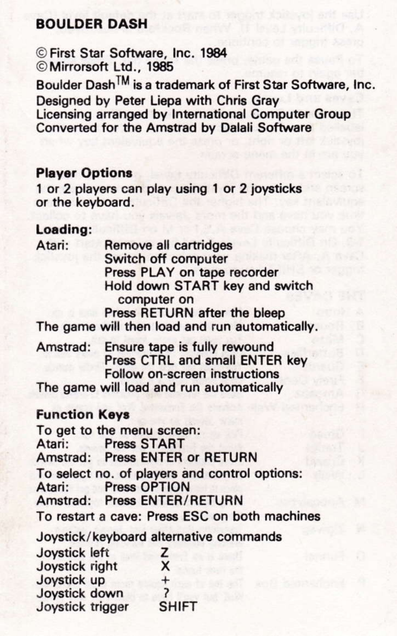# **BOULDER DASH**

C First Star Software, Inc. 1984 © Mirrorsoft Ltd., 1985

Boulder Dash<sup>™</sup> is a trademark of First Star Software, Inc. Designed by Peter Liepa with Chris Grav Licensing arranged by International Computer Group Converted for the Amstrad by Dalali Software

## **Player Options**

1 or 2 players can play using 1 or 2 joysticks or the keyboard.

## Loading:

| Atari:               | Remove all cartridges                          |
|----------------------|------------------------------------------------|
|                      | Switch off computer                            |
|                      | Press PLAY on tape recorder                    |
|                      | Hold down START key and switch<br>computer on  |
|                      | Press RETURN after the bleep                   |
|                      | The game will then load and run automatically. |
|                      | Amstrad: Ensure tape is fully rewound          |
|                      | Press CTRL and small ENTER key                 |
|                      | Follow on-screen instructions                  |
|                      | The game will load and run automatically       |
| <b>Function Keys</b> |                                                |
|                      | To get to the menu screen:                     |
|                      | Atari: Press START                             |
|                      | Amstrad: Press ENTER or RETURN                 |
|                      | To select no. of players and control options:  |
|                      | Atari: Press OPTION                            |
|                      | Amstrad: Press ENTER/RETURN                    |
|                      | To restart a cave: Press ESC on both machines  |
|                      | Joystick/keyboard alternative commands         |

| Joystick left    | z            |
|------------------|--------------|
| Joystick right   | x            |
| Joystick up      | $\ddot{}$    |
| Joystick down    | ,            |
| Joystick trigger | <b>SHIFT</b> |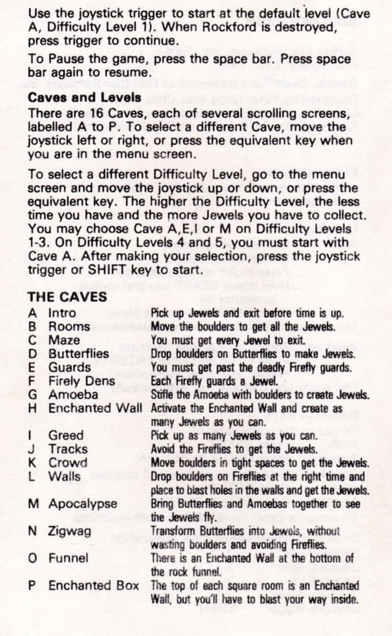Use the joystick trigger to start at the default level (Cave A. Difficulty Level 1). When Rockford is destroved. press trigger to continue.

To Pause the game, press the space bar, Press space bar again to resume.

#### **Caves and Levals**

There are 16 Caves, each of several scrolling screens. labelled A to P. To select a different Cave, move the joystick left or right, or press the equivalent key when you are in the menu screen.

To select a different Difficulty Level, go to the menu screen and move the joystick up or down, or press the equivalent key. The higher the Difficulty Level, the less time you have and the more Jewels you have to collect. You may choose Cave A, E, I or M on Difficulty Levels 1-3. On Difficulty Levels 4 and 5, you must start with Cave A. After making your selection, press the joystick trigger or SHIFT key to start.

## THE CAVES

| A        | Intro                   | Pick up Jewels and exit before time is up.                                                                |
|----------|-------------------------|-----------------------------------------------------------------------------------------------------------|
| в        | Rooms                   | Move the boulders to get all the Jewels.                                                                  |
| C        | Maze                    | You must get every Jewel to exit.                                                                         |
| D        | <b>Butterflies</b>      | Drop boulders on Butterflies to make Jewels.                                                              |
| E        | Guards                  | You must get past the deadly Firefly guards.                                                              |
| F        | <b>Firely Dens</b>      | Each Firefly guards a Jewel.                                                                              |
| G        | Amoeba                  | Stifle the Amoeba with boulders to create Jewels.                                                         |
|          | <b>H</b> Enchanted Wall | Activate the Enchanted Wall and create as                                                                 |
|          |                         | many Jewels as you can.                                                                                   |
| ı        | Greed                   | Pick up as many Jewels as you can.                                                                        |
| J        | Tracks                  | Avoid the Fireflies to get the Jewels.                                                                    |
| Κ        | Crowd                   | Move boulders in tight spaces to get the Jewels.                                                          |
| L        | Walls                   | Drop boulders on Fireflies at the right time and<br>place to blast holes in the walls and get the Jewels. |
|          | M Apocalypse            | Bring Butterflies and Amoebas together to see<br>the Jewels fly.                                          |
|          | N Zigwag                | Transform Butterflies into Jewels, without                                                                |
|          |                         | wasting boulders and avoiding Fireflies.                                                                  |
| $\Omega$ | Funnel                  | There is an Enchanted Wall at the bottom of<br>the rock funnel.                                           |
| P        | <b>Enchanted Box</b>    | The top of each square room is an Enchanted<br>Wall, but you'll have to blast your way inside.            |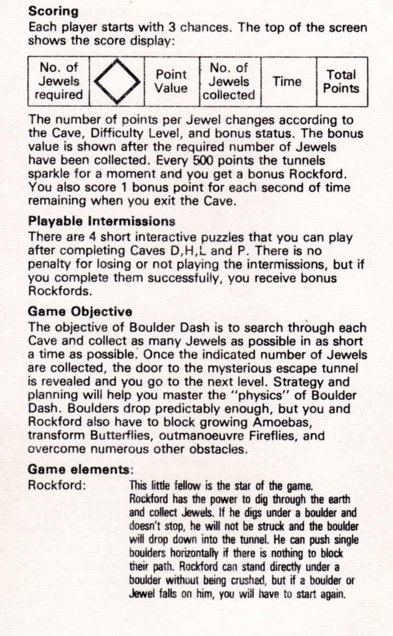## **Scoring**

Each player starts with 3 chances. The top of the screen shows the score display:



The number of points per Jewel changes according to the Cave. Difficulty Level, and bonus status. The bonus value is shown after the required number of Jewels have been collected. Every 500 points the tunnels sparkle for a moment and you get a bonus Rockford. You also score 1 bonus point for each second of time remaining when you exit the Cave.

# **Playable Intermissions**

There are 4 short interactive puzzles that you can play after completing Caves D.H.L and P. There is no penalty for losing or not playing the intermissions, but if vou complete them successfully, you receive bonus Rockfords

## **Game Objective**

The objective of Boulder Dash is to search through each Cave and collect as many Jewels as possible in as short a time as possible. Once the indicated number of Jewels are collected, the door to the mysterious escape tunnel is revealed and you go to the next level. Strategy and planning will help you master the "physics" of Boulder Dash. Boulders drop predictably enough, but you and Rockford also have to block growing Amoebas. transform Butterflies, outmanoeuvre Fireflies, and overcome numerous other obstacles

# Game elements:

Rockford:

This little fellow is the star of the game. Rockford has the power to dio through the earth and collect Jewels. If he digs under a boulder and doesn't stop, he will not be struck and the boulder will drop down into the tunnel. He can push single boulders horizontally if there is nothing to block their path. Rockford can stand directly under a boulder without being crushed, but if a boulder or Jewel falls on him, you will have to start again.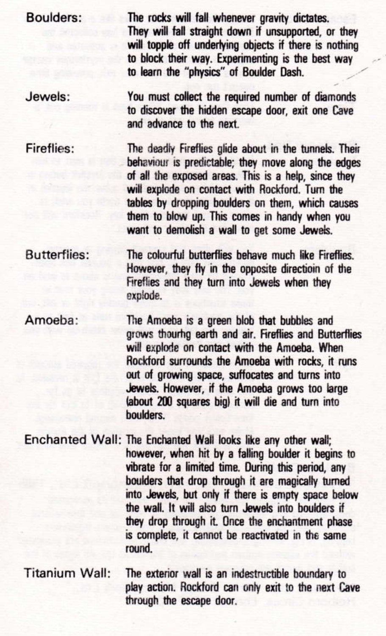The rocks will fall whenever gravity dictates. They will fall straight down if unsupported, or they will topple off underlying objects if there is nothing to block their way Experimention is the best way to learn the "physics" of Roulder Dash

Jewels: You must collect the required number of diamonds to discover the hidden escape door, exit one Cave and advance to the next

**Roulders:** 

Fireflies: The deadly Fireflies plide about in the tunnels. Their behaviour is predictable; they move along the edges of all the exposed areas. This is a help, since they will explode on contact with Bockford. Turn the tables by dropping boulders on them, which causes them to blow up. This comes in handy when you want to demolish a wall to get some Jewels.

The colourful butterflies behave much like Fireflies **Butterflies:** However, they fly in the opposite direction of the Fireflies and they turn into Jewels when they explode.

Amoeba: The Amoeba is a green blob that bubbles and grows thourho earth and air. Fireflies and Butterflies will explode on contact with the Amoeba When Rockford surrounds the Amoeha with rocks it runs out of growing space, suffocates and turns into Jewels, However, if the Amoeba grows too large labout 200 squares big) it will die and turn into houlders

Enchanted Wall: The Enchanted Wall looks like any other wall: however, when hit by a falling boulder it begins to vibrate for a limited time. During this period, any boulders that drop through it are manically turned into Jewels, but only if there is empty space below the wall. It will also turn Jewels into boulders if they drop through it. Once the enchantment phase is complete, it cannot be reactivated in the same mund

#### **Titanium Wall:** The exterior wall is an indestructible boundary to play action. Rockford can only exit to the next Cave through the escape door.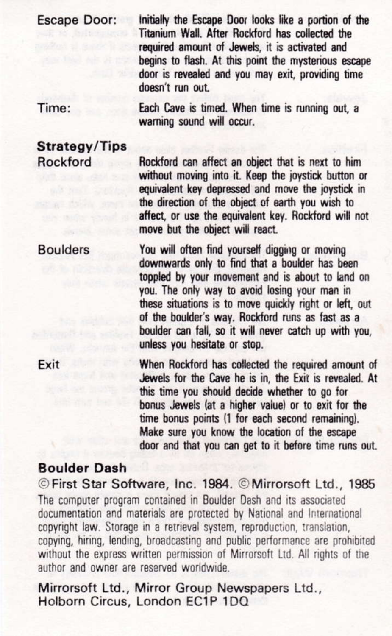#### **Escape Door:**

Initially the Escape Door looks like a portion of the Titanium Wall, After Rockford has collected the required amount of Jewels, it is activated and begins to flash. At this point the mysterious escape door is revealed and you may exit, providing time doesn't run out.

Time:

Each Cave is timed. When time is running out, a warning sound will occur.

Strategy/Tips **Rockford** 

Rockford can affect an object that is next to him without moving into it. Keep the joystick button or equivalent key depressed and move the joystick in the direction of the object of earth you wish to affect, or use the equivalent key. Rockford will not move but the object will react.

**Boulders** You will often find yourself digging or moving downwards only to find that a boulder has been toppled by your movement and is about to land on you. The only way to avoid losing your man in these situations is to move quickly right or left, out of the boulder's way. Rockford runs as fast as a boulder can fall so it will never catch un with you. unless you hesitate or stop.

> When Rockford has collected the required amount of Jewels for the Cave he is in, the Exit is revealed. At this time you should decide whether to go for bonus Jewels (at a higher value) or to exit for the time bonus points (1 for each second remaining). Make sure you know the location of the escape door and that you can get to it before time runs out.

### **Roulder Dash**

Exit

© First Star Software, Inc. 1984. © Mirrorsoft Ltd., 1985. The computer program contained in Boulder Dash and its associated documentation and materials are protected by National and International convright law. Storage in a retrieval system, reproduction, translation, copying, hiring, lending, broadcasting and public performance are prohibited without the express written permission of Mirrorsoft Ltd. All rights of the author and owner are reserved worldwide.

Mirrorsoft Ltd., Mirror Group Newspapers Ltd., Holborn Circus, London EC1P 1DQ